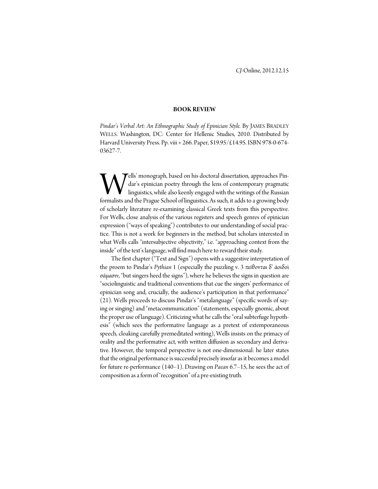## **BOOK REVIEW**

*Pindar's Verbal Art: An Ethnographic Study of Epinician Style.* By JAMES BRADLEY WELLS. Washington, DC: Center for Hellenic Studies, 2010. Distributed by Harvard University Press. Pp. viii + 266. Paper, \$19.95/£14.95. ISBN 978-0-674- 03627-7.

ells' monograph, based on his doctoral dissertation, approaches Pindar's epinician poetry through the lens of contemporary pragmatic linguistics, while also keenly engaged with the writings of the Russian **Fells'** monograph, based on his doctoral dissertation, approaches Pindar's epinician poetry through the lens of contemporary pragmatic linguistics, while also keenly engaged with the writings of the Russian formalists and of scholarly literature re-examining classical Greek texts from this perspective. For Wells, close analysis of the various registers and speech genres of epinician expression ("ways of speaking") contributes to our understanding of social practice. This is not a work for beginners in the method, but scholars interested in what Wells calls "intersubjective objectivity," i.e. "approaching context from the inside" of the text's language, will find much here to reward their study.

 The first chapter ("Text and Sign") opens with a suggestive interpretation of the proem to Pindar's *Pythian* 1 (especially the puzzling v. 3 πείθονται δ' ἀοιδοὶ σάμασιν, "but singers heed the signs"), where he believes the signs in question are "sociolinguistic and traditional conventions that cue the singers' performance of epinician song and, crucially, the audience's participation in that performance" (21). Wells proceeds to discuss Pindar's "metalanguage" (specific words of saying or singing) and "metacommunication" (statements, especially gnomic, about the proper use of language). Criticizing what he calls the "oral subterfuge hypothesis" (which sees the performative language as a pretext of extemporaneous speech, cloaking carefully premeditated writing), Wells insists on the primacy of orality and the performative act, with written diffusion as secondary and derivative. However, the temporal perspective is not one-dimensional: he later states that the original performance is successful precisely insofar as it becomes a model for future re-performance (140–1). Drawing on *Paean* 6.7–15, he sees the act of composition as a form of "recognition" of a pre-existing truth.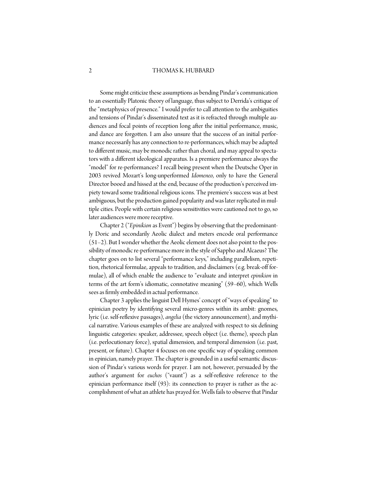## 2 THOMAS K. HUBBARD

 Some might criticize these assumptions as bending Pindar's communication to an essentially Platonic theory of language, thus subject to Derrida's critique of the "metaphysics of presence." I would prefer to call attention to the ambiguities and tensions of Pindar's disseminated text as it is refracted through multiple audiences and focal points of reception long after the initial performance, music, and dance are forgotten. I am also unsure that the success of an initial performance necessarily has any connection to re-performances, which may be adapted to different music, may be monodic rather than choral, and may appeal to spectators with a different ideological apparatus. Is a premiere performance always the "model" for re-performances? I recall being present when the Deutsche Oper in 2003 revived Mozart's long-unperformed *Idomeneo*, only to have the General Director booed and hissed at the end, because of the production's perceived impiety toward some traditional religious icons. The premiere's success was at best ambiguous, but the production gained popularity and was later replicated in multiple cities. People with certain religious sensitivities were cautioned not to go, so later audiences were more receptive.

 Chapter 2 ("*Epinikion* as Event") begins by observing that the predominantly Doric and secondarily Aeolic dialect and meters encode oral performance (51–2). But I wonder whether the Aeolic element does not also point to the possibility of monodic re-performance more in the style of Sappho and Alcaeus? The chapter goes on to list several "performance keys," including parallelism, repetition, rhetorical formulae, appeals to tradition, and disclaimers (e.g. break-off formulae), all of which enable the audience to "evaluate and interpret *epinikion* in terms of the art form's idiomatic, connotative meaning" (59–60), which Wells sees as firmly embedded in actual performance.

 Chapter 3 applies the linguist Dell Hymes' concept of "ways of speaking" to epinician poetry by identifying several micro-genres within its ambit: gnomes, lyric (i.e. self-reflexive passages), *angelia* (the victory announcement), and mythical narrative. Various examples of these are analyzed with respect to six defining linguistic categories: speaker, addressee, speech object (i.e. theme), speech plan (i.e. perlocutionary force), spatial dimension, and temporal dimension (i.e. past, present, or future). Chapter 4 focuses on one specific way of speaking common in epinician, namely prayer. The chapter is grounded in a useful semantic discussion of Pindar's various words for prayer. I am not, however, persuaded by the author's argument for *euchos* ("vaunt") as a self-reflexive reference to the epinician performance itself (93): its connection to prayer is rather as the accomplishment of what an athlete has prayed for. Wells fails to observe that Pindar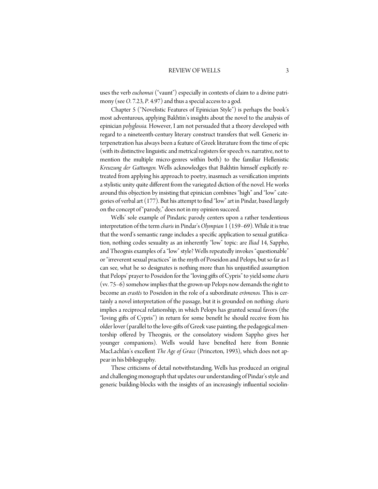## REVIEW OF WELLS 3

uses the verb *euchomai* ("vaunt") especially in contexts of claim to a divine patrimony (see *O*. 7.23, *P*. 4.97) and thus a special access to a god.

 Chapter 5 ("Novelistic Features of Epinician Style") is perhaps the book's most adventurous, applying Bakhtin's insights about the novel to the analysis of epinician *polyglossia.* However, I am not persuaded that a theory developed with regard to a nineteenth-century literary construct transfers that well. Generic interpenetration has always been a feature of Greek literature from the time of epic (with its distinctive linguistic and metrical registers for speech vs. narrative, not to mention the multiple micro-genres within both) to the familiar Hellenistic *Kreuzung der Gattungen.* Wells acknowledges that Bakhtin himself explicitly retreated from applying his approach to poetry, inasmuch as versification imprints a stylistic unity quite different from the variegated diction of the novel. He works around this objection by insisting that epinician combines "high" and "low" categories of verbal art (177). But his attempt to find "low" art in Pindar, based largely on the concept of "parody," does not in my opinion succeed.

 Wells' sole example of Pindaric parody centers upon a rather tendentious interpretation of the term *charis* in Pindar's *Olympian* 1 (159–69). While it is true that the word's semantic range includes a specific application to sexual gratification, nothing codes sexuality as an inherently "low" topic: are *Iliad* 14, Sappho, and Theognis examples of a "low" style? Wells repeatedly invokes "questionable" or "irreverent sexual practices" in the myth of Poseidon and Pelops, but so far as I can see, what he so designates is nothing more than his unjustified assumption that Pelops' prayer to Poseidon for the "loving gifts of Cypris" to yield some *charis*  (vv. 75–6) somehow implies that the grown-up Pelops now demands the right to become an *erastês* to Poseidon in the role of a subordinate *erômenos.* This is certainly a novel interpretation of the passage, but it is grounded on nothing: *charis*  implies a reciprocal relationship, in which Pelops has granted sexual favors (the "loving gifts of Cypris") in return for some benefit he should receive from his older lover (parallel to the love-gifts of Greek vase painting, the pedagogical mentorship offered by Theognis, or the consolatory wisdom Sappho gives her younger companions). Wells would have benefited here from Bonnie MacLachlan's excellent *The Age of Grace* (Princeton, 1993), which does not appear in his bibliography.

 These criticisms of detail notwithstanding, Wells has produced an original and challenging monograph that updates our understanding of Pindar's style and generic building-blocks with the insights of an increasingly influential sociolin